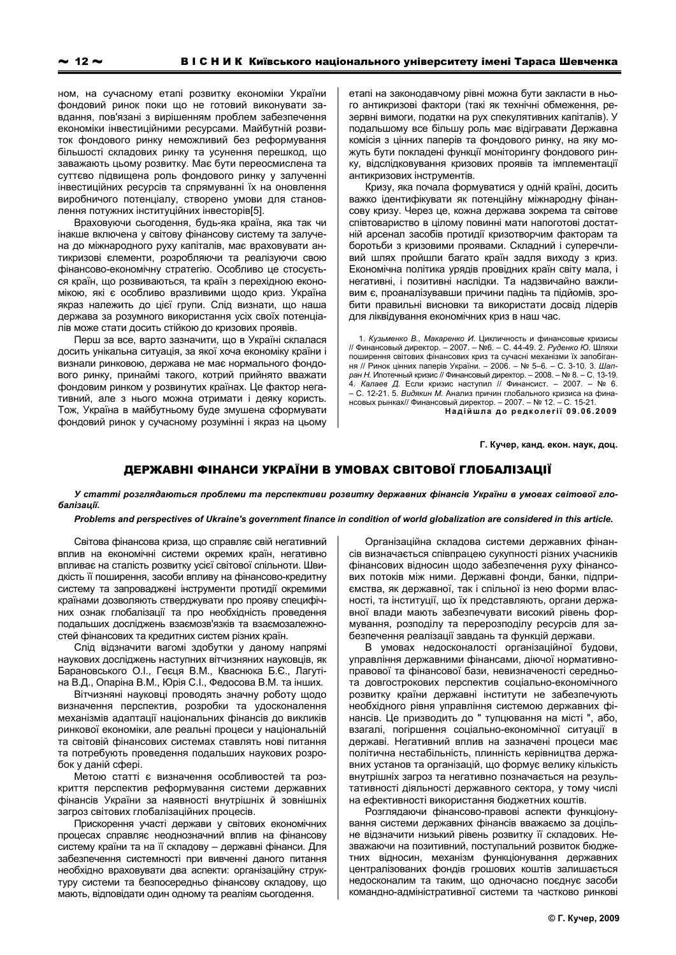ном, на сучасному етапі розвитку економіки України фондовий ринок поки що не готовий виконувати завдання, пов'язані з вирішенням проблем забезпечення економіки інвестиційними ресурсами. Майбутній розвиток фондового ринку неможливий без реформування більшості складових ринку та усунення перешкод, що заважають цьому розвитку. Має бути переосмислена та суттєво підвищена роль фондового ринку у залученні інвестиційних ресурсів та спрямуванні їх на оновлення виробничого потенціалу, створено умови для становлення потужних інституційних інвесторів[5].

Враховуючи сьогодення, будь-яка країна, яка так чи інакше включена у світову фінансову систему та залучена до міжнародного руху капіталів. має враховувати антикризові єлементи, розробляючи та реалізуючи свою фінансово-економічну стратегію. Особливо це стосується країн, що розвиваються, та країн з перехідною економікою, які є особливо вразливими щодо криз. Україна якраз належить до цієї групи. Слід визнати, що наша держава за розумного використання усіх своїх потенціалів може стати досить стійкою до кризових проявів.

Перш за все, варто зазначити, що в Україні склалася досить унікальна ситуація, за якої хоча економіку країни і визнали ринковою. держава не має нормального фондового ринку, принаймі такого, котрий прийнято вважати фондовим ринком у розвинутих країнах. Це фактор негативний, але з нього можна отримати і деяку користь. Тож, Україна в майбутньому буде змушена сформувати фондовий ринок у сучасному розумінні і якраз на цьому етапі на законодавчому рівні можна бути закласти в нього антикризові фактори (такі як технічні обмеження, резервні вимоги, податки на рух спекулятивних капіталів). У подальшому все більшу роль має відігравати Державна комісія з цінних паперів та фондового ринку, на яку можуть бути покладені функції моніторингу фондового ринку, відслідковування кризових проявів та імплементації антикризових інструментів.

Кризу, яка почала формуватися у одній країні, досить важко ідентифікувати як потенційну міжнародну фінансову кризу. Через це, кожна держава зокрема та світове співтовариство в цілому повинні мати напоготові достатній арсенал засобів протидії кризотворчим факторам та боротьби з кризовими проявами. Складний і суперечливий шлях пройшли багато країн задля виходу з криз. Економічна політика урядів провідних країн світу мала, і негативні, і позитивні наслідки. Та надзвичайно важливим є, проаналізувавши причини падінь та підйомів, зробити правильні висновки та використати досвід лідерів для ліквідування економічних криз в наш час.

1. Кузьменко В., Макаренко И. Цикличность и финансовые кризисы  $\mu$  Финансовый директор. - 2007. - №6. - С. 44-49. 2. Руденко Ю. Шляхи поширення світових фінансових криз та сучасні механізми їх запобігання // Ринок цінних паперів України. - 2006. - № 5-6. - С. 3-10. 3. Шапран Н. Ипотечный кризис // Финансовый директор. - 2008. - № 8. - С. 13-19. 4. Калаев Д. Если кризис наступил // Финансист. - 2007. - № 6. – С. 12-21. 5. Видякин М. Анализ причин глобального кризиса на финансовых рынках// Финансовый директор. - 2007. - № 12. - С. 15-21

Надійшла до редколегії 09.06.2009

Г. Кучер, канд. екон. наук, доц.

## ДЕРЖАВНІ ФІНАНСИ УКРАЇНИ В УМОВАХ СВІТОВОЇ ГЛОБАЛІЗАЦІЇ

У статті розглядаються проблеми та перспективи розвитку державних фінансів України в умовах світової глобалізації.

## Problems and perspectives of Ukraine's government finance in condition of world globalization are considered in this article.

Світова фінансова криза. що справляє свій негативний вплив на економічні системи окремих країн, негативно впливає на сталість розвитку усієї світової спільноти. Швидкість її поширення, засоби впливу на фінансово-кредитну систему та запроваджені інструменти протидії окремими країнами дозволяють стверджувати про прояву специфічних ознак глобалізації та про необхідність проведення подальших досліджень взаємозв'язків та взаємозалежностей фінансових та кредитних систем різних країн.

Слід відзначити вагомі здобутки у даному напрямі наукових досліджень наступних вітчизняних науковців, як Барановського О.І., Геєця В.М., Кваснюка Б.Є., Лагутіна В.Д., Опаріна В.М., Юрія С.І., Федосова В.М. та інших.

Вітчизняні науковці проводять значну роботу щодо визначення перспектив, розробки та удосконалення механізмів адаптації національних фінансів до викликів ринкової економіки, але реальні процеси у національній та світовій фінансових системах ставлять нові питання та потребують проведення подальших наукових розробок у даній сфері.

Метою статті є визначення особливостей та розкриття перспектив реформування системи державних фінансів України за наявності внутрішніх й зовнішніх загроз світових глобалізаційних процесів.

Прискорення участі держави у світових економічних процесах справляє неоднозначний вплив на фінансову систему країни та на її складову - державні фінанси. Для забезпечення системності при вивченні даного питання необхідно враховувати два аспекти: організаційну структуру системи та безпосередньо фінансову складову. що мають, відповідати один одному та реаліям сьогодення.

Організаційна складова системи державних фінансів визначається співпрацею сукупності різних учасників фінансових відносин щодо забезпечення руху фінансових потоків між ними. Державні фонди, банки, підприємства, як державної, так і спільної із нею форми власності, та інституції, що їх представляють, органи державної влади мають забезпечувати високий рівень формування, розподілу та перерозподілу ресурсів для забезпечення реалізації завдань та функцій держави.

В умовах недосконалості організаційної будови, управління державними фінансами, діючої нормативноправової та фінансової бази, невизначеності середньота довгострокових перспектив соціально-економічного розвитку країни державні інститути не забезпечують необхідного рівня управління системою державних фінансів. Це призводить до " тупцювання на місті ", або, взагалі, погіршення соціально-економічної ситvації в державі. Негативний вплив на зазначені процеси має політична нестабільність, плинність керівництва державних установ та організацій, що формує велику кількість внутрішніх загроз та негативно позначається на результативності діяльності державного сектора, у тому числі на ефективності використання бюджетних коштів.

Розглядаючи фінансово-правові аспекти функціонування системи державних фінансів вважаємо за доцільне відзначити низький рівень розвитку її складових. Незважаючи на позитивний, поступальний розвиток бюджетних відносин, механізм функціонування державних централізованих фондів грошових коштів залишається недосконалим та таким, що одночасно поєднує засоби командно-адміністративної системи та частково ринкові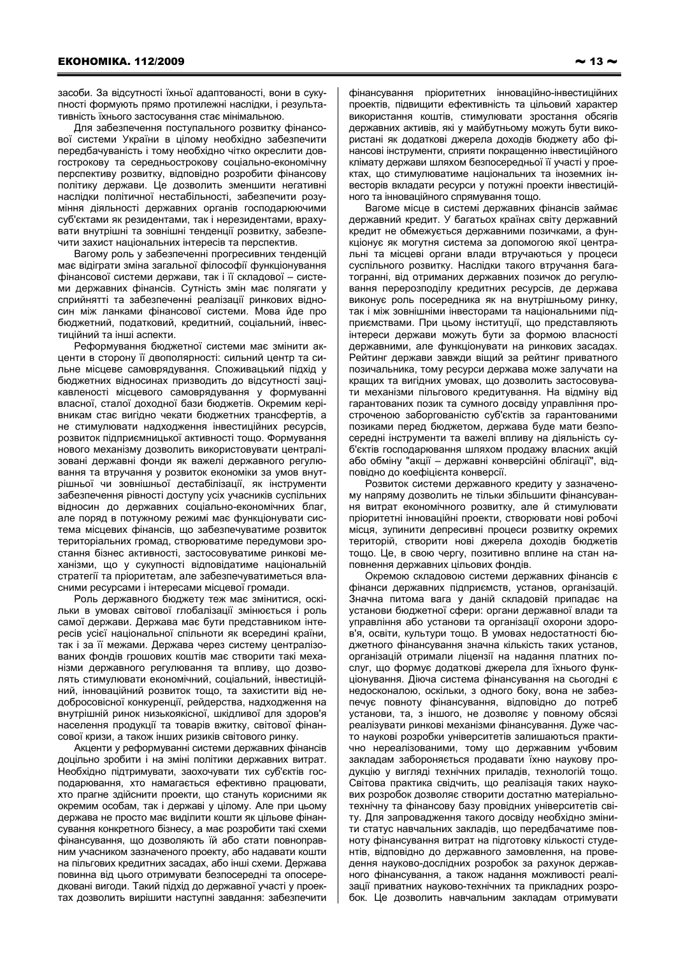засоби. За відсутності їхньої адаптованості, вони в сукупності формують прямо протилежні наслідки, і результативність їхнього застосування стає мінімальною.

Для забезпечення поступального розвитку фінансової системи України в цілому необхідно забезпечити передбачуваність і тому необхідно чітко окреслити довгострокову та середньострокову соціально-економічну перспективу розвитку, відповідно розробити фінансову політику держави. Це дозволить зменшити негативні наслідки політичної нестабільності, забезпечити розуміння діяльності державних органів господарюючими суб'єктами як резидентами, так і нерезидентами, врахувати внутрішні та зовнішні тенденції розвитку, забезпечити захист національних інтересів та перспектив.

Вагому роль у забезпеченні прогресивних тенденцій має відіграти зміна загальної філософії функціонування фінансової системи держави, так і її складової - системи державних фінансів. Сутність змін має полягати у сприйнятті та забезпеченні реалізації ринкових відносин між ланками фінансової системи. Мова йде про бюджетний, податковий, кредитний, соціальний, інвестинійний та інші аспекти.

Реформування бюджетної системи має змінити акценти в сторону її двополярності: сильний центр та сильне місцеве самоврядування. Споживацький підхід у бюджетних відносинах призводить до відсутності зацікавленості місцевого самоврядування у формуванні власної, сталої доходної бази бюджетів. Окремим керівникам стає вигідно чекати бюджетних трансфертів, а не стимулювати надходження інвестиційних ресурсів, розвиток підприємницької активності тощо. Формування нового механізму дозволить використовувати централізовані державні фонди як важелі державного регулювання та втручання у розвиток економіки за умов внутрішньої чи зовнішньої дестабілізації, як інструменти забезпечення рівності доступу усіх учасників суспільних відносин до державних соціально-економічних благ, але поряд в потужному режимі має функціонувати система місцевих фінансів, що забезпечуватиме розвиток територіальних громад, створюватиме передумови зростання бізнес активності, застосовуватиме ринкові механізми, що у сукупності відповідатиме національній стратегії та пріоритетам, але забезпечуватиметься власними ресурсами і інтересами місцевої громади.

Роль державного бюджету теж має змінитися, оскільки в умовах світової глобалізації змінюється і роль самої держави. Держава має бути представником інтересів усієї національної спільноти як всередині країни, так і за її межами. Держава через систему централізованих фондів грошових коштів має створити такі механізми державного регулювання та впливу, що дозволять стимулювати економічний, соціальний, інвестиційний, інноваційний розвиток тощо, та захистити від недобросовісної конкуренції, рейдерства, надходження на внутрішній ринок низькоякісної, шкідливої для здоров'я населення продукції та товарів вжитку, світової фінансової кризи, а також інших ризиків світового ринку.

Акценти у реформуванні системи державних фінансів доцільно зробити і на зміні політики державних витрат. Необхідно підтримувати, заохочувати тих суб'єктів господарювання, хто намагається ефективно працювати, хто прагне здійснити проекти, що стануть корисними як окремим особам, так і державі у цілому. Але при цьому держава не просто має виділити кошти як цільове фінансування конкретного бізнесу, а має розробити такі схеми фінансування, що дозволяють їй або стати повноправним учасником зазначеного проекту, або надавати кошти на пільгових крелитних засалах, або інші схеми. Лержава повинна від цього отримувати безпосередні та опосередковані вигоди. Такий підхід до державної участі у проектах дозволить вирішити наступні завдання: забезпечити фінансування пріоритетних інноваційно-інвестиційних проектів, підвищити ефективність та цільовий характер використання коштів, стимулювати зростання обсягів державних активів, які у майбутньому можуть бути використані як додаткові джерела доходів бюджету або фінансові інструменти, сприяти покращенню інвестиційного клімату держави шляхом безпосередньої її участі у проектах, що стимулюватиме національних та іноземних інвесторів вкладати ресурси у потужні проекти інвестиційного та інноваційного спрямування тощо.

Вагоме місце в системі державних фінансів займає державний кредит. У багатьох країнах світу державний кредит не обмежується державними позичками, а функціонує як могутня система за допомогою якої центральні та місцеві органи влади втручаються у процеси суспільного розвитку. Наслідки такого втручання багатогранні, від отриманих державних позичок до регулювання перерозподілу кредитних ресурсів, де держава виконує роль посередника як на внутрішньому ринку, так і між зовнішніми інвесторами та національними підприємствами. При цьому інституції, що представляють інтереси держави можуть бути за формою власності державними, але функціонувати на ринкових засадах. Рейтинг держави завжди віщий за рейтинг приватного позичальника, тому ресурси держава може залучати на кращих та вигідних умовах, що дозволить застосовувати механізми пільгового кредитування. На відміну від гарантованих позик та сумного досвіду управління простроченою заборгованістю суб'єктів за гарантованими позиками перед бюджетом, держава буде мати безпосередні інструменти та важелі впливу на діяльність суб'єктів господарювання шляхом продажу власних акцій або обміну "акції - державні конверсійні облігації", відповідно до коефіцієнта конверсії.

Розвиток системи державного кредиту у зазначеному напряму дозволить не тільки збільшити фінансування витрат економічного розвитку, але й стимулювати пріоритетні інноваційні проекти, створювати нові робочі місця, зупинити депресивні процеси розвитку окремих територій, створити нові джерела доходів бюджетів тощо. Це, в свою чергу, позитивно вплине на стан наповнення державних цільових фондів.

Окремою складовою системи державних фінансів є фінанси державних підприємств, установ, організацій. Значна питома вага у даній складовій припадає на установи бюджетної сфери: органи державної влади та управління або установи та організації охорони здоров'я, освіти, культури тощо. В умовах недостатності бюджетного фінансування значна кількість таких установ, організацій отримали ліцензії на надання платних послуг, що формує додаткові джерела для їхнього функціонування. Діюча система фінансування на сьогодні є недосконалою, оскільки, з одного боку, вона не забезпечує повноту фінансування, відповідно до потреб установи, та, з іншого, не дозволяє у повному обсязі реалізувати ринкові механізми фінансування. Дуже часто наукові розробки університетів залишаються практично нереалізованими, тому що державним учбовим закладам забороняється продавати їхню наукову продукцію у вигляді технічних приладів, технологій тощо. Світова практика свідчить, що реалізація таких наукових розробок дозволяє створити достатню матеріальнотехнічну та фінансову базу провідних університетів світу. Для запровадження такого досвіду необхідно змінити статус навчальних закладів, що передбачатиме повноту фінансування витрат на підготовку кількості студентів, відповідно до державного замовлення, на проведення науково-дослідних розробок за рахунок державного фінансування, а також надання можливості реалізації приватних науково-технічних та прикладних розробок. Це дозволить навчальним закладам отримувати